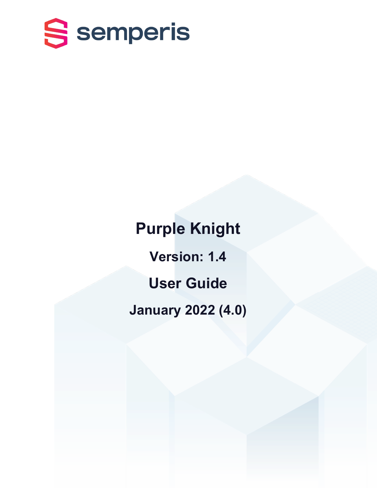

**Purple Knight Version: 1.4 User Guide January 2022 (4.0)**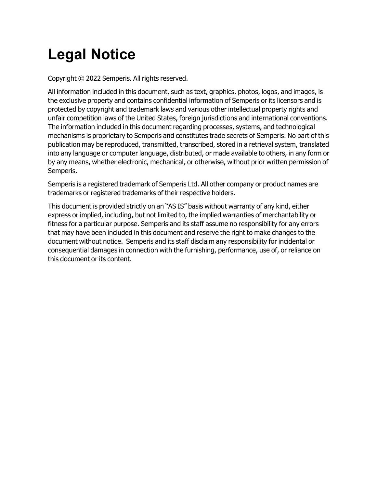# **Legal Notice**

Copyright © 2022 Semperis. All rights reserved.

All information included in this document, such as text, graphics, photos, logos, and images, is the exclusive property and contains confidential information of Semperis or its licensors and is protected by copyright and trademark laws and various other intellectual property rights and unfair competition laws of the United States, foreign jurisdictions and international conventions. The information included in this document regarding processes, systems, and technological mechanisms is proprietary to Semperis and constitutes trade secrets of Semperis. No part of this publication may be reproduced, transmitted, transcribed, stored in a retrieval system, translated into any language or computer language, distributed, or made available to others, in any form or by any means, whether electronic, mechanical, or otherwise, without prior written permission of Semperis.

Semperis is a registered trademark of Semperis Ltd. All other company or product names are trademarks or registered trademarks of their respective holders.

This document is provided strictly on an "AS IS" basis without warranty of any kind, either express or implied, including, but not limited to, the implied warranties of merchantability or fitness for a particular purpose. Semperis and its staff assume no responsibility for any errors that may have been included in this document and reserve the right to make changes to the document without notice. Semperis and its staff disclaim any responsibility for incidental or consequential damages in connection with the furnishing, performance, use of, or reliance on this document or its content.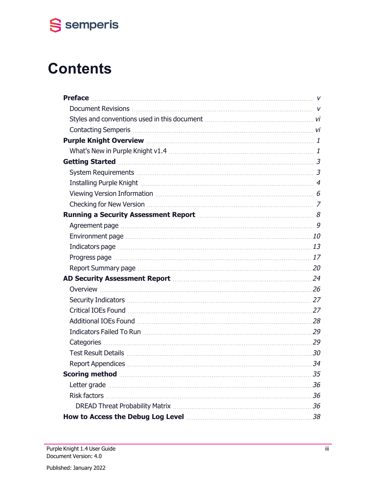

# **Contents**

| Getting Started Material Material Contract and Started Material Material Material Started Material Material S                                                                                                                        |    |
|--------------------------------------------------------------------------------------------------------------------------------------------------------------------------------------------------------------------------------------|----|
|                                                                                                                                                                                                                                      |    |
|                                                                                                                                                                                                                                      |    |
|                                                                                                                                                                                                                                      |    |
|                                                                                                                                                                                                                                      |    |
| Running a Security Assessment Report [111] Running a Security Assessment Report [111] Running a Security Assessment Report                                                                                                           |    |
| Agreement page manufactured and all the contract of the contract of the contract of the contract of the contract of the contract of the contract of the contract of the contract of the contract of the contract of the contra       |    |
| Environment page manufactured and the contract of the contract of the contract of the contract of the contract of the contract of the contract of the contract of the contract of the contract of the contract of the contract       |    |
| Indicators page [11] material contracts and the state of the state of the state of the state of the state of the state of the state of the state of the state of the state of the state of the state of the state of the state       |    |
| Progress page manufactured and the contract of the contract of the contract of the contract of the contract of the contract of the contract of the contract of the contract of the contract of the contract of the contract of       |    |
| Report Summary page manufactured and the contract of the contract of the contract of the contract of the contract of the contract of the contract of the contract of the contract of the contract of the contract of the contr       |    |
| AD Security Assessment Report Manual Advisory 24                                                                                                                                                                                     |    |
|                                                                                                                                                                                                                                      |    |
|                                                                                                                                                                                                                                      |    |
|                                                                                                                                                                                                                                      |    |
|                                                                                                                                                                                                                                      |    |
|                                                                                                                                                                                                                                      |    |
| Categories 29                                                                                                                                                                                                                        |    |
|                                                                                                                                                                                                                                      |    |
|                                                                                                                                                                                                                                      |    |
| Scoring method <b>contract to the contract of the second contract of the second contract of the second contract of the second contract of the second contract of the second contract of the second contract of the second contra</b> | 35 |
|                                                                                                                                                                                                                                      |    |
| <b>Risk factors</b>                                                                                                                                                                                                                  |    |
|                                                                                                                                                                                                                                      |    |
|                                                                                                                                                                                                                                      |    |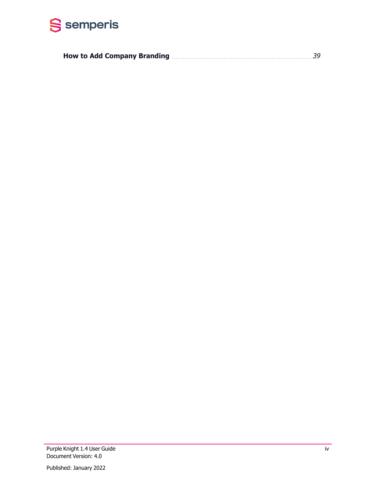

|--|--|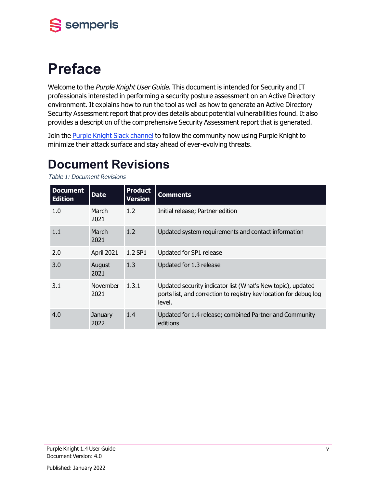

# <span id="page-4-0"></span>**Preface**

Welcome to the Purple Knight User Guide. This document is intended for Security and IT professionals interested in performing a security posture assessment on an Active Directory environment. It explains how to run the tool as well as how to generate an Active Directory Security Assessment report that provides details about potential vulnerabilities found. It also provides a description of the comprehensive Security Assessment report that is generated.

<span id="page-4-1"></span>Join the Purple Knight Slack [channel](https://purpleknight.slack.com/join/shared_invite/zt-o8ojqo68-S7bQLV3U6w1V525lHMH~aA#/) to follow the community now using Purple Knight to minimize their attack surface and stay ahead of ever-evolving threats.

## **Document Revisions**

Table 1: Document Revisions

| <b>Document</b><br><b>Edition</b> | <b>Date</b>      | <b>Product</b><br><b>Version</b> | <b>Comments</b>                                                                                                                            |
|-----------------------------------|------------------|----------------------------------|--------------------------------------------------------------------------------------------------------------------------------------------|
| 1.0                               | March<br>2021    | 1.2 <sub>2</sub>                 | Initial release; Partner edition                                                                                                           |
| 1.1                               | March<br>2021    | 1.2                              | Updated system requirements and contact information                                                                                        |
| 2.0                               | April 2021       | 1.2 SP1                          | Updated for SP1 release                                                                                                                    |
| 3.0                               | August<br>2021   | 1.3                              | Updated for 1.3 release                                                                                                                    |
| 3.1                               | November<br>2021 | 1.3.1                            | Updated security indicator list (What's New topic), updated<br>ports list, and correction to registry key location for debug log<br>level. |
| 4.0                               | January<br>2022  | 1.4                              | Updated for 1.4 release; combined Partner and Community<br>editions                                                                        |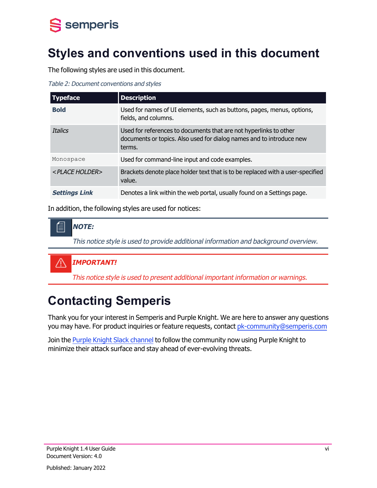

## <span id="page-5-0"></span>**Styles and conventions used in this document**

The following styles are used in this document.

Table 2: Document conventions and styles

| <b>Typeface</b>           | <b>Description</b>                                                                                                                                  |
|---------------------------|-----------------------------------------------------------------------------------------------------------------------------------------------------|
| <b>Bold</b>               | Used for names of UI elements, such as buttons, pages, menus, options,<br>fields, and columns.                                                      |
| <b>Italics</b>            | Used for references to documents that are not hyperlinks to other<br>documents or topics. Also used for dialog names and to introduce new<br>terms. |
| Monospace                 | Used for command-line input and code examples.                                                                                                      |
| <place holder=""></place> | Brackets denote place holder text that is to be replaced with a user-specified<br>value.                                                            |
| <b>Settings Link</b>      | Denotes a link within the web portal, usually found on a Settings page.                                                                             |

In addition, the following styles are used for notices:

倡 **NOTE:**

This notice style is used to provide additional information and background overview.

#### /j\ **IMPORTANT!**

This notice style is used to present additional important information or warnings.

## <span id="page-5-1"></span>**Contacting Semperis**

Thank you for your interest in Semperis and Purple Knight. We are here to answer any questions you may have. For product inquiries or feature requests, contact [pk-community@semperis.com](mailto:pk-community@semperis.com)

Join the Purple Knight Slack [channel](https://purpleknight.slack.com/join/shared_invite/zt-o8ojqo68-S7bQLV3U6w1V525lHMH~aA#/) to follow the community now using Purple Knight to minimize their attack surface and stay ahead of ever-evolving threats.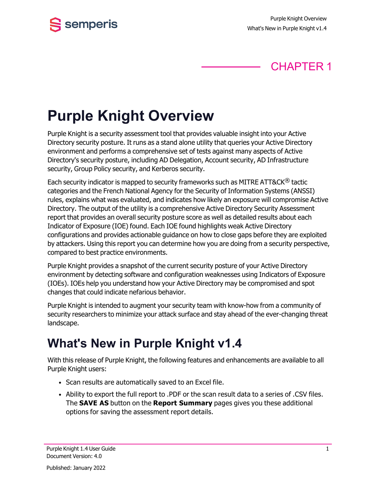

## CHAPTER 1

# <span id="page-6-0"></span>**Purple Knight Overview**

Purple Knight is a security assessment tool that provides valuable insight into your Active Directory security posture. It runs as a stand alone utility that queries your Active Directory environment and performs a comprehensive set of tests against many aspects of Active Directory's security posture, including AD Delegation, Account security, AD Infrastructure security, Group Policy security, and Kerberos security.

Each security indicator is mapped to security frameworks such as MITRE ATT&CK<sup>®</sup> tactic categories and the French National Agency for the Security of Information Systems (ANSSI) rules, explains what was evaluated, and indicates how likely an exposure will compromise Active Directory. The output of the utility is a comprehensive Active Directory Security Assessment report that provides an overall security posture score as well as detailed results about each Indicator of Exposure (IOE) found. Each IOE found highlights weak Active Directory configurations and provides actionable guidance on how to close gaps before they are exploited by attackers. Using this report you can determine how you are doing from a security perspective, compared to best practice environments.

Purple Knight provides a snapshot of the current security posture of your Active Directory environment by detecting software and configuration weaknesses using Indicators of Exposure (IOEs). IOEs help you understand how your Active Directory may be compromised and spot changes that could indicate nefarious behavior.

Purple Knight is intended to augment your security team with know-how from a community of security researchers to minimize your attack surface and stay ahead of the ever-changing threat landscape.

## <span id="page-6-1"></span>**What's New in Purple Knight v1.4**

With this release of Purple Knight, the following features and enhancements are available to all Purple Knight users:

- Scan results are automatically saved to an Excel file.
- Ability to export the full report to .PDF or the scan result data to a series of .CSV files. The **SAVE AS** button on the **Report Summary** pages gives you these additional options for saving the assessment report details.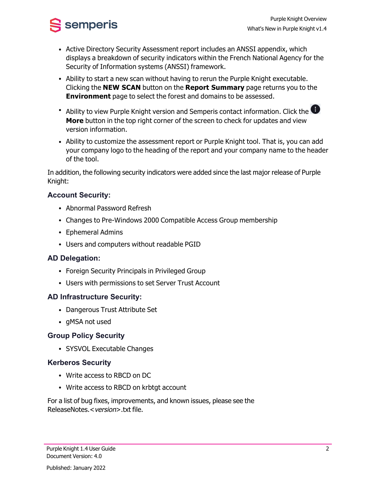$\frac{1}{2}$  semperis

- Active Directory Security Assessment report includes an ANSSI appendix, which displays a breakdown of security indicators within the French National Agency for the Security of Information systems (ANSSI) framework.
- Ability to start a new scan without having to rerun the Purple Knight executable. Clicking the **NEW SCAN** button on the **Report Summary** page returns you to the **Environment** page to select the forest and domains to be assessed.
- Ability to view Purple Knight version and Semperis contact information. Click the  $\bigoplus$ **More** button in the top right corner of the screen to check for updates and view version information.
- Ability to customize the assessment report or Purple Knight tool. That is, you can add your company logo to the heading of the report and your company name to the header of the tool.

In addition, the following security indicators were added since the last major release of Purple Knight:

### **Account Security:**

- Abnormal Password Refresh
- Changes to Pre-Windows 2000 Compatible Access Group membership
- Ephemeral Admins
- Users and computers without readable PGID

### **AD Delegation:**

- Foreign Security Principals in Privileged Group
- Users with permissions to set Server Trust Account

### **AD Infrastructure Security:**

- Dangerous Trust Attribute Set
- gMSA not used

### **Group Policy Security**

• SYSVOL Executable Changes

### **Kerberos Security**

- Write access to RBCD on DC
- Write access to RBCD on krbtgt account

For a list of bug fixes, improvements, and known issues, please see the ReleaseNotes.<version>.txt file.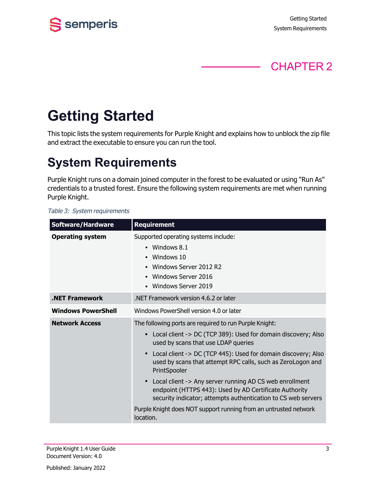

## CHAPTER 2

# <span id="page-8-0"></span>**Getting Started**

<span id="page-8-1"></span>This topic lists the system requirements for Purple Knight and explains how to unblock the zip file and extract the executable to ensure you can run the tool.

## **System Requirements**

Purple Knight runs on a domain joined computer in the forest to be evaluated or using "Run As" credentials to a trusted forest. Ensure the following system requirements are met when running Purple Knight.

#### Table 3: System requirements

| <b>Software/Hardware</b>  | <b>Requirement</b>                                                                                                                                                                                                                                                                                                                                                                                                                                                                                                                                                                        |  |  |  |  |
|---------------------------|-------------------------------------------------------------------------------------------------------------------------------------------------------------------------------------------------------------------------------------------------------------------------------------------------------------------------------------------------------------------------------------------------------------------------------------------------------------------------------------------------------------------------------------------------------------------------------------------|--|--|--|--|
| <b>Operating system</b>   | Supported operating systems include:<br>• Windows $8.1$<br>• Windows 10<br>Windows Server 2012 R2<br>Windows Server 2016<br>• Windows Server 2019                                                                                                                                                                                                                                                                                                                                                                                                                                         |  |  |  |  |
| <b>.NET Framework</b>     | NET Framework version 4.6.2 or later                                                                                                                                                                                                                                                                                                                                                                                                                                                                                                                                                      |  |  |  |  |
| <b>Windows PowerShell</b> | Windows PowerShell version 4.0 or later                                                                                                                                                                                                                                                                                                                                                                                                                                                                                                                                                   |  |  |  |  |
| <b>Network Access</b>     | The following ports are required to run Purple Knight:<br>• Local client -> DC (TCP 389): Used for domain discovery; Also<br>used by scans that use LDAP queries<br>Local client -> DC (TCP 445): Used for domain discovery; Also<br>used by scans that attempt RPC calls, such as ZeroLogon and<br>PrintSpooler<br>• Local client -> Any server running AD CS web enrollment<br>endpoint (HTTPS 443): Used by AD Certificate Authority<br>security indicator; attempts authentication to CS web servers<br>Purple Knight does NOT support running from an untrusted network<br>location. |  |  |  |  |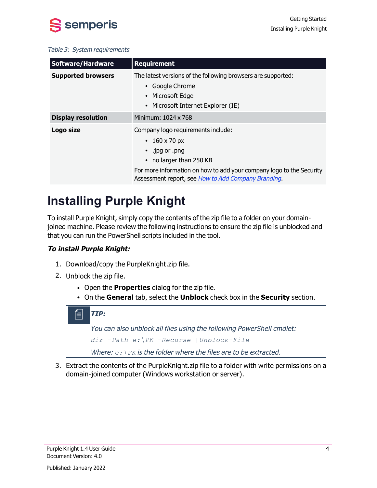

#### Table 3: System requirements

| <b>Software/Hardware</b>  | <b>Requirement</b>                                                                                                                                                                                                          |  |  |  |
|---------------------------|-----------------------------------------------------------------------------------------------------------------------------------------------------------------------------------------------------------------------------|--|--|--|
| <b>Supported browsers</b> | The latest versions of the following browsers are supported:<br>Google Chrome<br>Microsoft Edge<br>Microsoft Internet Explorer (IE)                                                                                         |  |  |  |
| <b>Display resolution</b> | Minimum: 1024 x 768                                                                                                                                                                                                         |  |  |  |
| Logo size                 | Company logo requirements include:<br>• 160 x 70 px<br>.jpg or .png<br>no larger than 250 KB<br>For more information on how to add your company logo to the Security<br>Assessment report, see How to Add Company Branding. |  |  |  |

## <span id="page-9-0"></span>**Installing Purple Knight**

To install Purple Knight, simply copy the contents of the zip file to a folder on your domainjoined machine. Please review the following instructions to ensure the zip file is unblocked and that you can run the PowerShell scripts included in the tool.

### **To install Purple Knight:**

- 1. Download/copy the PurpleKnight.zip file.
- 2. Unblock the zip file.
	- **Open the Properties** dialog for the zip file.
	- <sup>l</sup> On the **General** tab, select the **Unblock** check box in the **Security** section.

### **TIP:**

You can also unblock all files using the following PowerShell cmdlet: *dir -Path e:\PK -Recurse |Unblock-File*

Where:  $e: \n\angle PK$  is the folder where the files are to be extracted.

3. Extract the contents of the PurpleKnight.zip file to a folder with write permissions on a domain-joined computer (Windows workstation or server).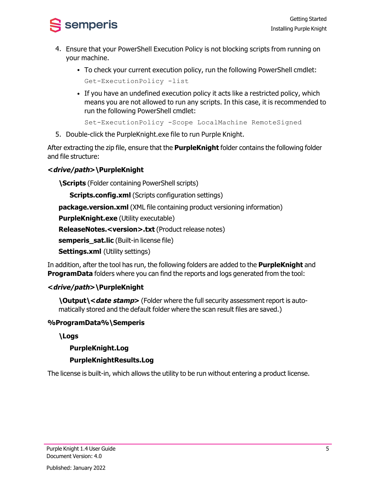

- 4. Ensure that your PowerShell Execution Policy is not blocking scripts from running on your machine.
	- To check your current execution policy, run the following PowerShell cmdlet: Get-ExecutionPolicy -list
	- If you have an undefined execution policy it acts like a restricted policy, which means you are not allowed to run any scripts. In this case, it is recommended to run the following PowerShell cmdlet:

Set-ExecutionPolicy -Scope LocalMachine RemoteSigned

5. Double-click the PurpleKnight.exe file to run Purple Knight.

After extracting the zip file, ensure that the **PurpleKnight** folder contains the following folder and file structure:

### **<drive/path>\PurpleKnight**

**\Scripts** (Folder containing PowerShell scripts)

**Scripts.config.xml** (Scripts configuration settings)

**package.version.xml** (XML file containing product versioning information)

**PurpleKnight.exe** (Utility executable)

**ReleaseNotes.<version>.txt** (Product release notes)

**semperis\_sat.lic** (Built-in license file)

**Settings.xml** (Utility settings)

In addition, after the tool has run, the following folders are added to the **PurpleKnight** and **ProgramData** folders where you can find the reports and logs generated from the tool:

### **<drive/path>\PurpleKnight**

**\Output\<date stamp>** (Folder where the full security assessment report is automatically stored and the default folder where the scan result files are saved.)

### **%ProgramData%\Semperis**

### **\Logs**

### **PurpleKnight.Log**

### **PurpleKnightResults.Log**

The license is built-in, which allows the utility to be run without entering a product license.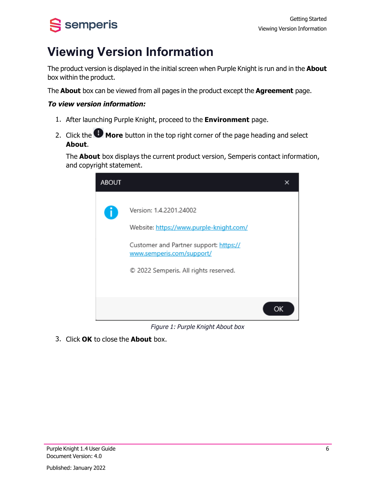# <span id="page-11-0"></span>S semperis

## **Viewing Version Information**

The product version is displayed in the initial screen when Purple Knight is run and in the **About** box within the product.

The **About** box can be viewed from all pages in the product except the **Agreement** page.

### **To view version information:**

- 1. After launching Purple Knight, proceed to the **Environment** page.
- 2. Click the **More** button in the top right corner of the page heading and select **About**.

The **About** box displays the current product version, Semperis contact information, and copyright statement.



Figure 1: Purple Knight About box

3. Click **OK** to close the **About** box.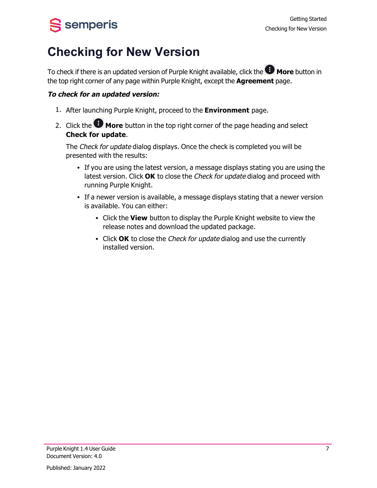# <span id="page-12-0"></span>S semperis

## **Checking for New Version**

To check if there is an updated version of Purple Knight available, click the **UP** More button in the top right corner of any page within Purple Knight, except the **Agreement** page.

### **To check for an updated version:**

- 1. After launching Purple Knight, proceed to the **Environment** page.
- 2. Click the **More** button in the top right corner of the page heading and select **Check for update**.

The Check for update dialog displays. Once the check is completed you will be presented with the results:

- If you are using the latest version, a message displays stating you are using the latest version. Click **OK** to close the Check for update dialog and proceed with running Purple Knight.
- If a newer version is available, a message displays stating that a newer version is available. You can either:
	- **.** Click the **View** button to display the Purple Knight website to view the release notes and download the updated package.
	- Click OK to close the Check for update dialog and use the currently installed version.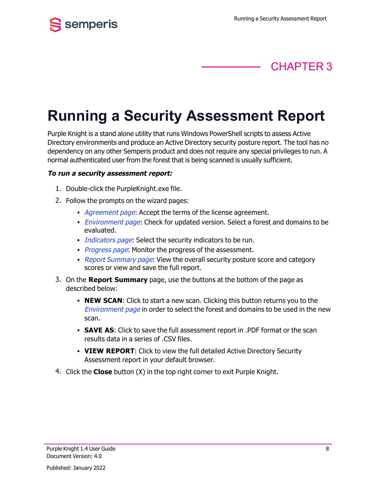

## CHAPTER 3

# <span id="page-13-0"></span>**Running a Security Assessment Report**

Purple Knight is a stand alone utility that runs Windows PowerShell scripts to assess Active Directory environments and produce an Active Directory security posture report. The tool has no dependency on any other Semperis product and does not require any special privileges to run. A normal authenticated user from the forest that is being scanned is usually sufficient.

#### **To run a security assessment report:**

- 1. Double-click the PurpleKnight.exe file.
- 2. Follow the prompts on the wizard pages:
	- [Agreement](#page-14-0) page: Accept the terms of the license agreement.
	- *[Environment](#page-15-0) page*: Check for updated version. Select a forest and domains to be evaluated.
	- [Indicators](#page-18-0) page: Select the security indicators to be run.
	- [Progress](#page-22-0) page: Monitor the progress of the assessment.
	- Report [Summary](#page-25-0) page: View the overall security posture score and category scores or view and save the full report.
- 3. On the **Report Summary** page, use the buttons at the bottom of the page as described below:
	- **NEW SCAN:** Click to start a new scan. Clicking this button returns you to the [Environment](#page-15-0) page in order to select the forest and domains to be used in the new scan.
	- **SAVE AS:** Click to save the full assessment report in .PDF format or the scan results data in a series of .CSV files.
	- **VIEW REPORT**: Click to view the full detailed Active Directory Security Assessment report in your default browser.
- 4. Click the **Close** button (X) in the top right corner to exit Purple Knight.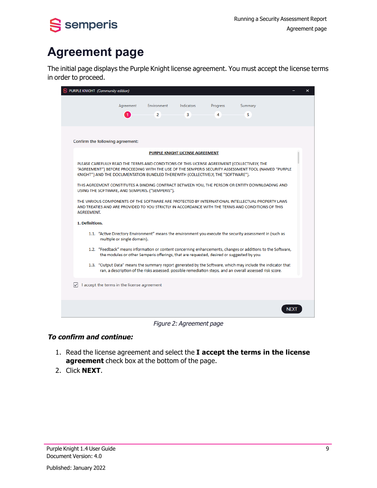<span id="page-14-0"></span>

## **Agreement page**

The initial page displays the Purple Knight license agreement. You must accept the license terms in order to proceed.

|                                      | PURPLE KNIGHT (Community edition)                                                                                                                                                                                                                                                                                                                                                                                                                                                                                                                                                                                                                                                                                                                                                                                                                                                                                                                                                                                                                                                                                                                                                                                                                                                        |                  |                                        |               |              | × |
|--------------------------------------|------------------------------------------------------------------------------------------------------------------------------------------------------------------------------------------------------------------------------------------------------------------------------------------------------------------------------------------------------------------------------------------------------------------------------------------------------------------------------------------------------------------------------------------------------------------------------------------------------------------------------------------------------------------------------------------------------------------------------------------------------------------------------------------------------------------------------------------------------------------------------------------------------------------------------------------------------------------------------------------------------------------------------------------------------------------------------------------------------------------------------------------------------------------------------------------------------------------------------------------------------------------------------------------|------------------|----------------------------------------|---------------|--------------|---|
|                                      | Agreement<br>1                                                                                                                                                                                                                                                                                                                                                                                                                                                                                                                                                                                                                                                                                                                                                                                                                                                                                                                                                                                                                                                                                                                                                                                                                                                                           | Environment<br>2 | Indicators<br>3                        | Progress<br>4 | Summary<br>5 |   |
|                                      | Confirm the following agreement:                                                                                                                                                                                                                                                                                                                                                                                                                                                                                                                                                                                                                                                                                                                                                                                                                                                                                                                                                                                                                                                                                                                                                                                                                                                         |                  |                                        |               |              |   |
| <b>AGREEMENT.</b><br>1. Definitions. | PLEASE CAREFULLY READ THE TERMS AND CONDITIONS OF THIS LICENSE AGREEMENT (COLLECTIVELY, THE<br>"AGREEMENT") BEFORE PROCEEDING WITH THE USE OF THE SEMPERIS SECURITY ASSESSMENT TOOL (NAMED "PURPLE<br>KNIGHT") AND THE DOCUMENTATION BUNDLED THEREWITH (COLLECTIVELY, THE "SOFTWARE").<br>THIS AGREEMENT CONSTITUTES A BINDING CONTRACT BETWEEN YOU, THE PERSON OR ENTITY DOWNLOADING AND<br>USING THE SOFTWARE, AND SEMPERIS. ("SEMPERIS").<br>THE VARIOUS COMPONENTS OF THE SOFTWARE ARE PROTECTED BY INTERNATIONAL INTELLECTUAL PROPERTY LAWS<br>AND TREATIES AND ARE PROVIDED TO YOU STRICTLY IN ACCORDANCE WITH THE TERMS AND CONDITIONS OF THIS<br>1.1. "Active Directory Environment" means the environment you execute the security assessment in (such as<br>multiple or single domain).<br>1.2. "Feedback" means information or content concerning enhancements, changes or additions to the Software,<br>the modules or other Semperis offerings, that are requested, desired or suggested by you.<br>1.3. "Output Data" means the summary report generated by the Software, which may include the indicator that<br>ran, a description of the risks assessed, possible remediation steps, and an overall assessed risk score.<br>I accept the terms in the license agreement |                  | <b>PURPLE KNIGHT LICENSE AGREEMENT</b> |               |              |   |
|                                      |                                                                                                                                                                                                                                                                                                                                                                                                                                                                                                                                                                                                                                                                                                                                                                                                                                                                                                                                                                                                                                                                                                                                                                                                                                                                                          |                  |                                        |               |              |   |
|                                      |                                                                                                                                                                                                                                                                                                                                                                                                                                                                                                                                                                                                                                                                                                                                                                                                                                                                                                                                                                                                                                                                                                                                                                                                                                                                                          |                  |                                        |               |              |   |

Figure 2: Agreement page

### **To confirm and continue:**

- 1. Read the license agreement and select the **I accept the terms in the license agreement** check box at the bottom of the page.
- 2. Click **NEXT**.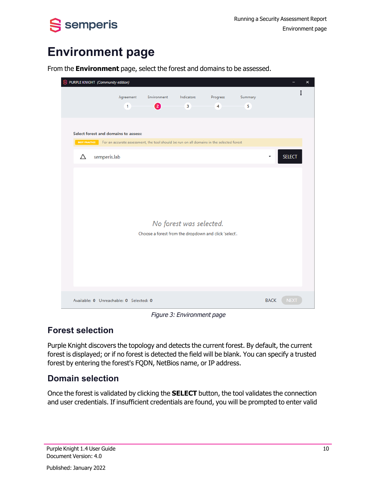<span id="page-15-0"></span>

## **Environment page**



From the **Environment** page, select the forest and domains to be assessed.

Figure 3: Environment page

## **Forest selection**

Purple Knight discovers the topology and detects the current forest. By default, the current forest is displayed; or if no forest is detected the field will be blank. You can specify a trusted forest by entering the forest's FQDN, NetBios name, or IP address.

### **Domain selection**

Once the forest is validated by clicking the **SELECT** button, the tool validates the connection and user credentials. If insufficient credentials are found, you will be prompted to enter valid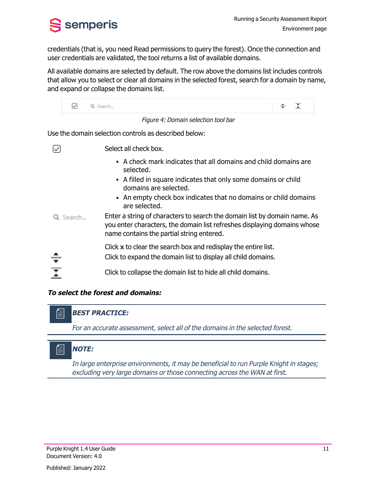

credentials (that is, you need Read permissions to query the forest). Once the connection and user credentials are validated, the tool returns a list of available domains.

All available domains are selected by default. The row above the domains list includes controls that allow you to select or clear all domains in the selected forest, search for a domain by name, and expand or collapse the domains list.

|                         | M        | Q Search                                                                                                                                                                                           | ÷ | $\overline{X}$ |  |
|-------------------------|----------|----------------------------------------------------------------------------------------------------------------------------------------------------------------------------------------------------|---|----------------|--|
|                         |          | Figure 4: Domain selection tool bar                                                                                                                                                                |   |                |  |
|                         |          | Use the domain selection controls as described below:                                                                                                                                              |   |                |  |
|                         |          | Select all check box.                                                                                                                                                                              |   |                |  |
|                         |          | • A check mark indicates that all domains and child domains are<br>selected.                                                                                                                       |   |                |  |
|                         |          | • A filled in square indicates that only some domains or child<br>domains are selected.                                                                                                            |   |                |  |
|                         |          | • An empty check box indicates that no domains or child domains<br>are selected.                                                                                                                   |   |                |  |
|                         | Q Search | Enter a string of characters to search the domain list by domain name. As<br>you enter characters, the domain list refreshes displaying domains whose<br>name contains the partial string entered. |   |                |  |
|                         |          | Click $x$ to clear the search box and redisplay the entire list.<br>Click to expand the domain list to display all child domains.                                                                  |   |                |  |
| $\overline{\mathbf{r}}$ |          | Click to collapse the domain list to hide all child domains.                                                                                                                                       |   |                |  |

#### **To select the forest and domains:**

### **BEST PRACTICE:**

For an accurate assessment, select all of the domains in the selected forest.

### **NOTE:**

圁

In large enterprise environments, it may be beneficial to run Purple Knight in stages; excluding very large domains or those connecting across the WAN at first.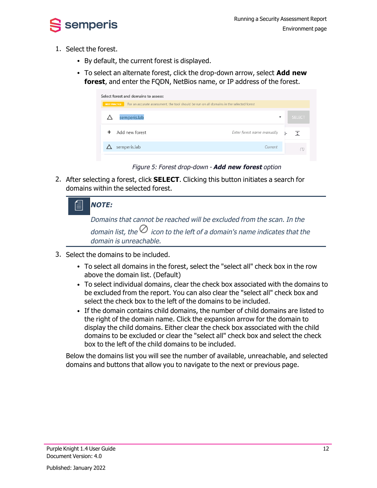

- 1. Select the forest.
	- By default, the current forest is displayed.
	- To select an alternate forest, click the drop-down arrow, select **Add new forest**, and enter the FQDN, NetBios name, or IP address of the forest.

| Select forest and domains to assess:                                                                             |                                 |  |  |  |  |  |  |
|------------------------------------------------------------------------------------------------------------------|---------------------------------|--|--|--|--|--|--|
| For an accurate assessment, the tool should be run on all domains in the selected forest<br><b>BEST PRACTICE</b> |                                 |  |  |  |  |  |  |
| semperis.lab                                                                                                     | <b>SELECT</b><br>۰              |  |  |  |  |  |  |
| Add new forest                                                                                                   | Enter forest name manually<br>Ŧ |  |  |  |  |  |  |
| semperis.lab                                                                                                     | Current                         |  |  |  |  |  |  |
|                                                                                                                  |                                 |  |  |  |  |  |  |

Figure 5: Forest drop-down - **Add new forest** option

2. After selecting a forest, click **SELECT**. Clicking this button initiates a search for domains within the selected forest.

| - 1 | <b>NOTE:</b>                                                                                                |
|-----|-------------------------------------------------------------------------------------------------------------|
|     | Domains that cannot be reached will be excluded from the scan. In the                                       |
|     | domain list, the $\oslash$ icon to the left of a domain's name indicates that the<br>domain is unreachable. |
|     |                                                                                                             |

- 3. Select the domains to be included.
	- To select all domains in the forest, select the "select all" check box in the row above the domain list. (Default)
	- To select individual domains, clear the check box associated with the domains to be excluded from the report. You can also clear the "select all" check box and select the check box to the left of the domains to be included.
	- If the domain contains child domains, the number of child domains are listed to the right of the domain name. Click the expansion arrow for the domain to display the child domains. Either clear the check box associated with the child domains to be excluded or clear the "select all" check box and select the check box to the left of the child domains to be included.

Below the domains list you will see the number of available, unreachable, and selected domains and buttons that allow you to navigate to the next or previous page.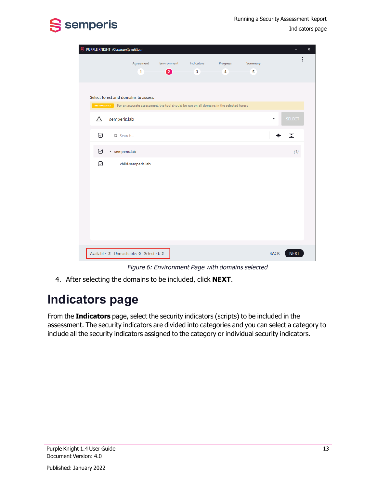



|   | PURPLE KNIGHT (Community edition) |                                         |                  |                                                                                                        |                            |              |             |               | $\pmb{\times}$ |
|---|-----------------------------------|-----------------------------------------|------------------|--------------------------------------------------------------------------------------------------------|----------------------------|--------------|-------------|---------------|----------------|
|   |                                   | Agreement<br>$\mathbf{1}$               | Environment<br>❷ | Indicators<br>$\overline{\mathbf{3}}$                                                                  | Progress<br>$\overline{4}$ | Summary<br>5 |             |               |                |
|   |                                   | Select forest and domains to assess:    |                  | BEST PRACTICE For an accurate assessment, the tool should be run on all domains in the selected forest |                            |              |             |               |                |
| Δ | semperis.lab                      |                                         |                  |                                                                                                        |                            |              | ٠           | <b>SELECT</b> |                |
| ☑ | Q Search                          |                                         |                  |                                                                                                        |                            |              | ÷           | 조             |                |
| ☑ | 4 semperis.lab                    |                                         |                  |                                                                                                        |                            |              |             | (1)           |                |
| ☑ |                                   | child.semperis.lab                      |                  |                                                                                                        |                            |              |             |               |                |
|   |                                   | Available: 2 Unreachable: 0 Selected: 2 |                  |                                                                                                        |                            |              | <b>BACK</b> | <b>NEXT</b>   |                |

Figure 6: Environment Page with domains selected

<span id="page-18-0"></span>4. After selecting the domains to be included, click **NEXT**.

## **Indicators page**

From the **Indicators** page, select the security indicators (scripts) to be included in the assessment. The security indicators are divided into categories and you can select a category to include all the security indicators assigned to the category or individual security indicators.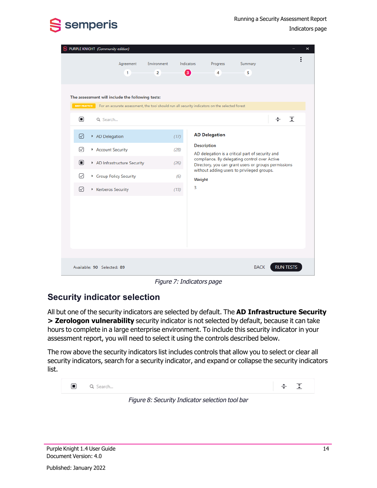

Running a Security Assessment Report

Indicators page

| s |                                      | PURPLE KNIGHT (Community edition)                                                                                                                                                                                                                                                               |                               |                                     |                                   |                      |                                                                                                                                                                                                         |                  |          | × |
|---|--------------------------------------|-------------------------------------------------------------------------------------------------------------------------------------------------------------------------------------------------------------------------------------------------------------------------------------------------|-------------------------------|-------------------------------------|-----------------------------------|----------------------|---------------------------------------------------------------------------------------------------------------------------------------------------------------------------------------------------------|------------------|----------|---|
|   |                                      | Agreement<br>1                                                                                                                                                                                                                                                                                  | Environment<br>$\overline{2}$ | Indicators<br>€                     |                                   | Progress<br>4        | Summary<br>5                                                                                                                                                                                            |                  |          |   |
|   | $\Box$<br>☑<br>☑<br>$\Box$<br>☑<br>☑ | The assessment will include the following tests:<br>BEST PRACTICE For an accurate assessment, the tool should run all security indicators on the selected forest<br>Q Search<br>AD Delegation<br>Account Security<br>AD Infrastructure Security<br>Group Policy Security<br>▶ Kerberos Security |                               | (17)<br>(28)<br>(26)<br>(6)<br>(13) | <b>Description</b><br>Weight<br>3 | <b>AD Delegation</b> | AD delegation is a critical part of security and<br>compliance. By delegating control over Active<br>Directory, you can grant users or groups permissions<br>without adding users to privileged groups. | ÷                | $\Sigma$ |   |
|   |                                      | Available: 90 Selected: 89                                                                                                                                                                                                                                                                      |                               |                                     |                                   |                      | <b>BACK</b>                                                                                                                                                                                             | <b>RUN TESTS</b> |          |   |

Figure 7: Indicators page

## **Security indicator selection**

All but one of the security indicators are selected by default. The **AD Infrastructure Security > Zerologon vulnerability** security indicator is not selected by default, because it can take hours to complete in a large enterprise environment. To include this security indicator in your assessment report, you will need to select it using the controls described below.

The row above the security indicators list includes controls that allow you to select or clear all security indicators, search for a security indicator, and expand or collapse the security indicators list.



Figure 8: Security Indicator selection tool bar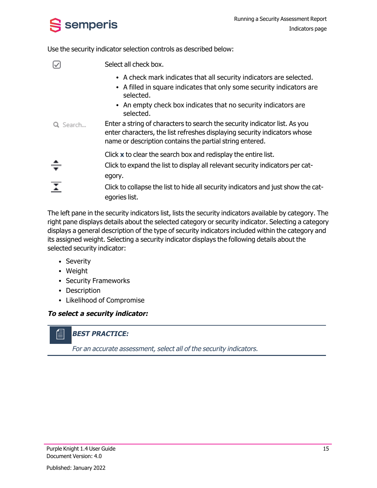

Use the security indicator selection controls as described below:

|                         | Select all check box.                                                                                                                                                                                               |
|-------------------------|---------------------------------------------------------------------------------------------------------------------------------------------------------------------------------------------------------------------|
|                         | • A check mark indicates that all security indicators are selected.<br>• A filled in square indicates that only some security indicators are<br>selected.                                                           |
|                         | • An empty check box indicates that no security indicators are<br>selected.                                                                                                                                         |
| Q Search                | Enter a string of characters to search the security indicator list. As you<br>enter characters, the list refreshes displaying security indicators whose<br>name or description contains the partial string entered. |
|                         | Click $x$ to clear the search box and redisplay the entire list.                                                                                                                                                    |
| —                       | Click to expand the list to display all relevant security indicators per cat-<br>egory.                                                                                                                             |
| $\overline{\mathbf{I}}$ | Click to collapse the list to hide all security indicators and just show the cat-<br>egories list.                                                                                                                  |
|                         |                                                                                                                                                                                                                     |

The left pane in the security indicators list, lists the security indicators available by category. The right pane displays details about the selected category or security indicator. Selecting a category displays a general description of the type of security indicators included within the category and its assigned weight. Selecting a security indicator displays the following details about the selected security indicator:

- Severity
- Weight

倡

- Security Frameworks
- Description
- Likelihood of Compromise

### **To select <sup>a</sup> security indicator:**

### **BEST PRACTICE:**

For an accurate assessment, select all of the security indicators.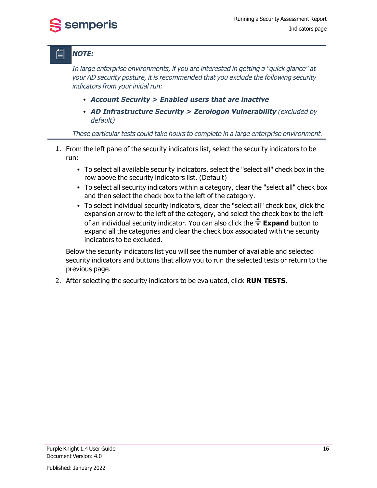## **NOTE:**

semperis

In large enterprise environments, if you are interested in getting <sup>a</sup> "quick glance" at your AD security posture, it is recommended that you exclude the following security indicators from your initial run:

- <sup>l</sup> **Account Security <sup>&</sup>gt; Enabled users that are inactive**
- <sup>l</sup> **AD Infrastructure Security <sup>&</sup>gt; Zerologon Vulnerability** (excluded by default)

These particular tests could take hours to complete in <sup>a</sup> large enterprise environment.

- 1. From the left pane of the security indicators list, select the security indicators to be run:
	- To select all available security indicators, select the "select all" check box in the row above the security indicators list. (Default)
	- To select all security indicators within a category, clear the "select all" check box and then select the check box to the left of the category.
	- To select individual security indicators, clear the "select all" check box, click the expansion arrow to the left of the category, and select the check box to the left of an individual security indicator. You can also click the **Expand** button to expand all the categories and clear the check box associated with the security indicators to be excluded.

Below the security indicators list you will see the number of available and selected security indicators and buttons that allow you to run the selected tests or return to the previous page.

2. After selecting the security indicators to be evaluated, click **RUN TESTS**.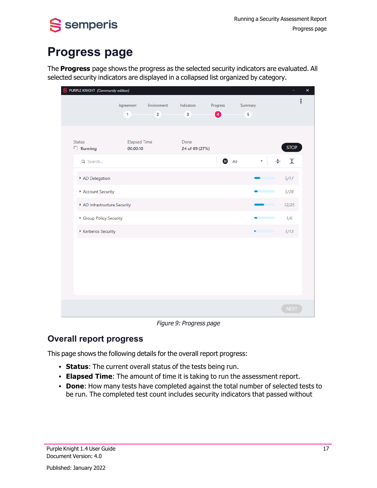<span id="page-22-0"></span>

## **Progress page**

The **Progress** page shows the progress as the selected security indicators are evaluated. All selected security indicators are displayed in a collapsed list organized by category.

| S PURPLE KNIGHT (Community edition)                  |                                 |                               |                                       |               |              |       | $\times$                   |
|------------------------------------------------------|---------------------------------|-------------------------------|---------------------------------------|---------------|--------------|-------|----------------------------|
|                                                      | Agreement<br>$\mathbf{1}$       | Environment<br>$\overline{2}$ | Indicators<br>$\overline{\mathbf{3}}$ | Progress<br>0 | Summary<br>5 |       | $\vdots$                   |
| <b>Status</b><br>$\stackrel{\circ}{\circ}$ : Running | <b>Elapsed Time</b><br>00:00:10 |                               | Done<br>24 of 89 (27%)                |               |              |       | <b>STOP</b>                |
| Q Search                                             |                                 |                               |                                       | ⊕             | All          | ÷     | $\overline{\underline{x}}$ |
| AD Delegation                                        |                                 |                               |                                       |               |              | 5/17  |                            |
| Account Security                                     |                                 |                               |                                       |               |              | 5/28  |                            |
|                                                      | AD Infrastructure Security      |                               |                                       |               |              | 12/25 |                            |
| Group Policy Security                                |                                 |                               |                                       |               |              | 1/6   |                            |
| Kerberos Security                                    |                                 |                               |                                       |               | $\bullet$    | 1/13  |                            |
|                                                      |                                 |                               |                                       |               |              |       |                            |
|                                                      |                                 |                               |                                       |               |              |       | <b>NEXT</b>                |

Figure 9: Progress page

## **Overall report progress**

This page shows the following details for the overall report progress:

- **· Status**: The current overall status of the tests being run.
- **Elapsed Time**: The amount of time it is taking to run the assessment report.
- **· Done**: How many tests have completed against the total number of selected tests to be run. The completed test count includes security indicators that passed without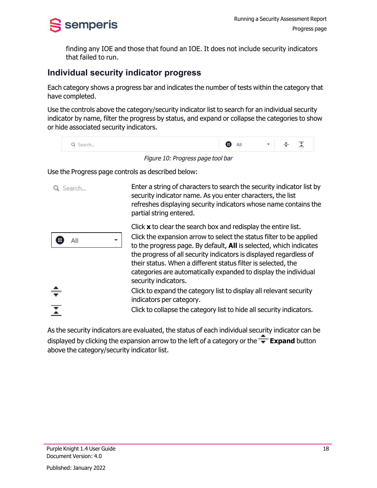

finding any IOE and those that found an IOE. It does not include security indicators that failed to run.

### **Individual security indicator progress**

Each category shows a progress bar and indicates the number of tests within the category that have completed.

Use the controls above the category/security indicator list to search for an individual security indicator by name, filter the progress by status, and expand or collapse the categories to show or hide associated security indicators.

| Q Search | Ð | All | $\cdot$ $\div$ $\overline{1}$ | $\overline{\phantom{a}}$ |
|----------|---|-----|-------------------------------|--------------------------|
|          |   |     |                               |                          |

Figure 10: Progress page tool bar

Use the Progress page controls as described below:

| -Search | Enter a string of characters to search the security indicator list by<br>security indicator name. As you enter characters, the list<br>refreshes displaying security indicators whose name contains the<br>partial string entered.                                                                                                                                                                                                                                                                                                                                                                                               |
|---------|----------------------------------------------------------------------------------------------------------------------------------------------------------------------------------------------------------------------------------------------------------------------------------------------------------------------------------------------------------------------------------------------------------------------------------------------------------------------------------------------------------------------------------------------------------------------------------------------------------------------------------|
| ΑIΙ     | Click $x$ to clear the search box and redisplay the entire list.<br>Click the expansion arrow to select the status filter to be applied<br>to the progress page. By default, <b>All</b> is selected, which indicates<br>the progress of all security indicators is displayed regardless of<br>their status. When a different status filter is selected, the<br>categories are automatically expanded to display the individual<br>security indicators.<br>Click to expand the category list to display all relevant security<br>indicators per category.<br>Click to collapse the category list to hide all security indicators. |

As the security indicators are evaluated, the status of each individual security indicator can be displayed by clicking the expansion arrow to the left of a category or the **Expand** button above the category/security indicator list.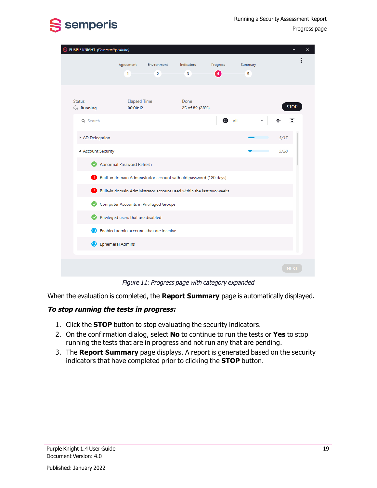



Progress page

| PURPLE KNIGHT (Community edition)                    |                                    |                                               |                                                                                                                                                   |               |              | ×                                      |  |
|------------------------------------------------------|------------------------------------|-----------------------------------------------|---------------------------------------------------------------------------------------------------------------------------------------------------|---------------|--------------|----------------------------------------|--|
|                                                      | Agreement<br>1                     | Environment<br>$\overline{2}$                 | Indicators<br>$\overline{\mathbf{3}}$                                                                                                             | Progress<br>4 | Summary<br>5 |                                        |  |
| <b>Status</b><br><b>Contract Running</b><br>Q Search | <b>Elapsed Time</b><br>00:00:12    |                                               | Done<br>25 of 89 (28%)                                                                                                                            | ⊕             | All          | <b>STOP</b><br>$\overline{\mathbf{r}}$ |  |
| AD Delegation                                        |                                    |                                               |                                                                                                                                                   |               |              | 5/17                                   |  |
| - Account Security                                   | Abnormal Password Refresh          |                                               |                                                                                                                                                   |               |              | 5/28                                   |  |
| Ð                                                    |                                    |                                               | Built-in domain Administrator account with old password (180 days)<br><b>Built-in domain Administrator account used within the last two weeks</b> |               |              |                                        |  |
| Ø                                                    |                                    | <b>Computer Accounts in Privileged Groups</b> |                                                                                                                                                   |               |              |                                        |  |
|                                                      | Privileged users that are disabled | Enabled admin accounts that are inactive      |                                                                                                                                                   |               |              |                                        |  |
| Ephemeral Admins                                     |                                    |                                               |                                                                                                                                                   |               |              |                                        |  |
|                                                      |                                    |                                               |                                                                                                                                                   |               |              | <b>NEXT</b>                            |  |

Figure 11: Progress page with category expanded

When the evaluation is completed, the **Report Summary** page is automatically displayed.

#### **To stop running the tests in progress:**

- 1. Click the **STOP** button to stop evaluating the security indicators.
- 2. On the confirmation dialog, select **No** to continue to run the tests or **Yes** to stop running the tests that are in progress and not run any that are pending.
- 3. The **Report Summary** page displays. A report is generated based on the security indicators that have completed prior to clicking the **STOP** button.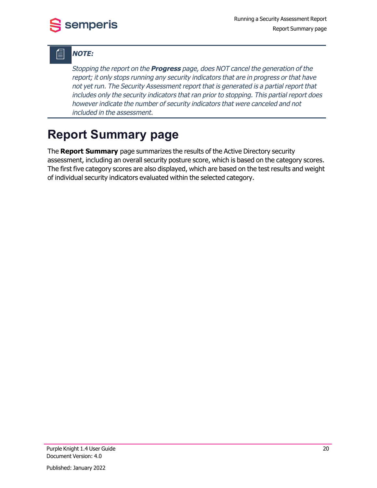## **NOTE:**

Stopping the report on the **Progress** page, does NOT cancel the generation of the report; it only stops running any security indicators that are in progress or that have not yet run. The Security Assessment report that is generated is <sup>a</sup> partial report that includes only the security indicators that ran prior to stopping. This partial report does however indicate the number of security indicators that were canceled and not included in the assessment.

## <span id="page-25-0"></span>**Report Summary page**

The **Report Summary** page summarizes the results of the Active Directory security assessment, including an overall security posture score, which is based on the category scores. The first five category scores are also displayed, which are based on the test results and weight of individual security indicators evaluated within the selected category.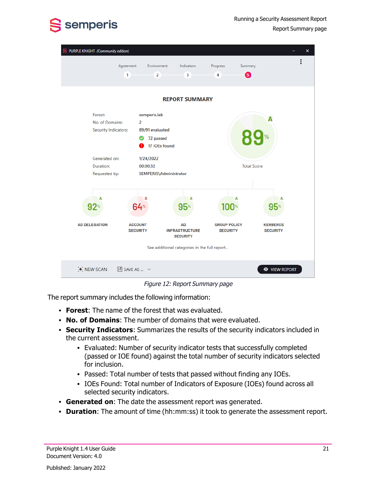

| PURPLE KNIGHT (Community edition)                                                                 |                                                                                 |                                                                                          |                               | $\times$                     |
|---------------------------------------------------------------------------------------------------|---------------------------------------------------------------------------------|------------------------------------------------------------------------------------------|-------------------------------|------------------------------|
|                                                                                                   | Agreement<br>Environment<br>$\overline{2}$<br>1                                 | Indicators<br>3                                                                          | Progress<br>Summary<br>6<br>4 |                              |
|                                                                                                   |                                                                                 | <b>REPORT SUMMARY</b>                                                                    |                               |                              |
| Forest:<br>No. of Domains:<br>Security Indicators:<br>Generated on:<br>Duration:<br>Requested by: | semperis.lab<br>2<br>89/91 evaluated<br>72 passed<br>1/24/2022<br>00:00:32<br>D | 17 IOEs found<br>SEMPERIS\Administrator<br>A                                             | A                             | Δ<br><b>Total Score</b><br>A |
| $92^{\circ}$<br><b>AD DELEGATION</b>                                                              | $64*$<br><b>ACCOUNT</b>                                                         | $95*$<br>AD                                                                              | 100*<br><b>GROUP POLICY</b>   | $95*$<br><b>KERBEROS</b>     |
|                                                                                                   | <b>SECURITY</b>                                                                 | <b>INFRASTRUCTURE</b><br><b>SECURITY</b><br>See additional categories in the full report | <b>SECURITY</b>               | <b>SECURITY</b>              |
| <b>X NEW SCAN</b>                                                                                 | $\mathbb{H}$ SAVE AS $\mathbb{V}$                                               |                                                                                          |                               | <b>EXAMPLE VIEW REPORT</b>   |

Figure 12: Report Summary page

The report summary includes the following information:

- **Forest:** The name of the forest that was evaluated.
- <sup>l</sup> **No. of Domains**: The number of domains that were evaluated.
- **· Security Indicators:** Summarizes the results of the security indicators included in the current assessment.
	- Evaluated: Number of security indicator tests that successfully completed (passed or IOE found) against the total number of security indicators selected for inclusion.
	- Passed: Total number of tests that passed without finding any IOEs.
	- IOEs Found: Total number of Indicators of Exposure (IOEs) found across all selected security indicators.
- **Generated on**: The date the assessment report was generated.
- **Duration**: The amount of time (hh:mm:ss) it took to generate the assessment report.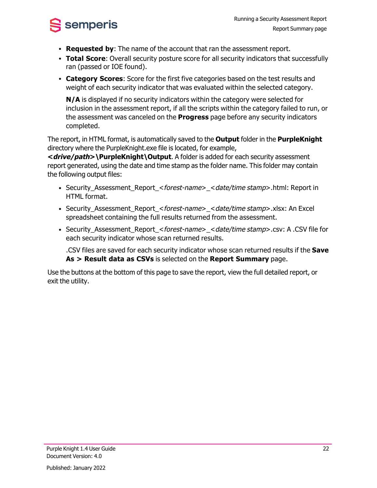

- **Requested by:** The name of the account that ran the assessment report.
- **Total Score**: Overall security posture score for all security indicators that successfully ran (passed or IOE found).
- **Category Scores**: Score for the first five categories based on the test results and weight of each security indicator that was evaluated within the selected category.

**N/A** is displayed if no security indicators within the category were selected for inclusion in the assessment report, if all the scripts within the category failed to run, or the assessment was canceled on the **Progress** page before any security indicators completed.

The report, in HTML format, is automatically saved to the **Output** folder in the **PurpleKnight** directory where the PurpleKnight.exe file is located, for example,

**<drive/path>\PurpleKnight\Output**. A folder is added for each security assessment report generated, using the date and time stamp as the folder name. This folder may contain the following output files:

- Security\_Assessment\_Report\_<forest-name>\_<date/time stamp>.html: Report in HTML format.
- <sup>l</sup> Security\_Assessment\_Report\_<forest-name>\_<date/time stamp>.xlsx: An Excel spreadsheet containing the full results returned from the assessment.
- <sup>l</sup> Security\_Assessment\_Report\_<forest-name>\_<date/time stamp>.csv: A .CSV file for each security indicator whose scan returned results.

.CSV files are saved for each security indicator whose scan returned results if the **Save As > Result data as CSVs** is selected on the **Report Summary** page.

Use the buttons at the bottom of this page to save the report, view the full detailed report, or exit the utility.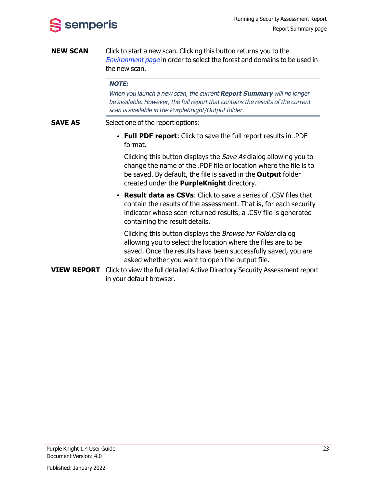

**NEW SCAN** Click to start a new scan. Clicking this button returns you to the [Environment](#page-15-0) page in order to select the forest and domains to be used in the new scan.

#### **NOTE:**

When you launch <sup>a</sup> new scan, the current **Report Summary** will no longer be available. However, the full report that contains the results of the current scan is available in the PurpleKnight/Output folder.

- **SAVE AS** Select one of the report options:
	- <sup>l</sup> **Full PDF report**: Click to save the full report results in .PDF format.

Clicking this button displays the Save As dialog allowing you to change the name of the .PDF file or location where the file is to be saved. By default, the file is saved in the **Output** folder created under the **PurpleKnight** directory.

<sup>l</sup> **Result data as CSVs**: Click to save a series of .CSV files that contain the results of the assessment. That is, for each security indicator whose scan returned results, a .CSV file is generated containing the result details.

Clicking this button displays the Browse for Folder dialog allowing you to select the location where the files are to be saved. Once the results have been successfully saved, you are asked whether you want to open the output file.

**VIEW REPORT** Click to view the full detailed Active Directory Security Assessment report in your default browser.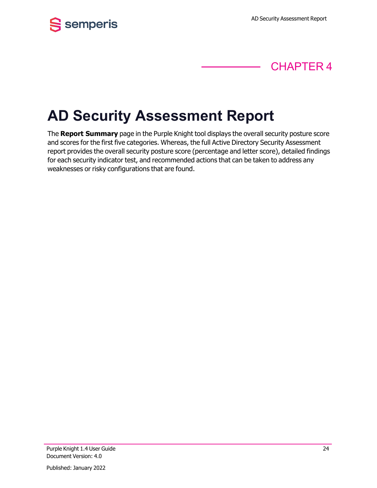



# <span id="page-29-0"></span>**AD Security Assessment Report**

The **Report Summary** page in the Purple Knight tool displays the overall security posture score and scores for the first five categories. Whereas, the full Active Directory Security Assessment report provides the overall security posture score (percentage and letter score), detailed findings for each security indicator test, and recommended actions that can be taken to address any weaknesses or risky configurations that are found.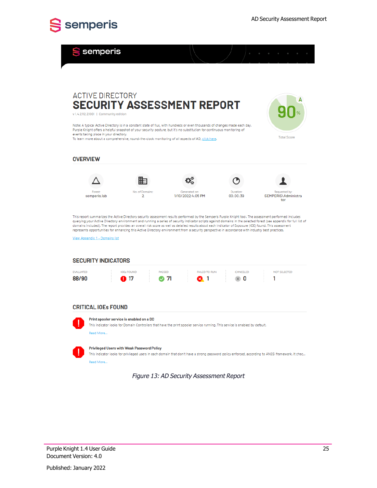

Semperis

| <b>ACTIVE DIRECTORY</b>                                      |                                                   |                                                                                                                                                                                                                              |                              |                                             |
|--------------------------------------------------------------|---------------------------------------------------|------------------------------------------------------------------------------------------------------------------------------------------------------------------------------------------------------------------------------|------------------------------|---------------------------------------------|
| v 1.4.2112.21001   Community edition                         |                                                   | <b>SECURITY ASSESSMENT REPORT</b>                                                                                                                                                                                            |                              |                                             |
|                                                              |                                                   | Note: A typical Active Directory is in a constant state of flux, with hundreds or even thousands of changes made each day.                                                                                                   |                              |                                             |
| events taking place in your directory.                       |                                                   | Purple Knight offers a helpful snapshot of your security posture, but it's no substitution for continuous monitoring of<br>To learn more about a comprehensive, round-the-clock monitoring of all aspects of AD, click here. |                              | <b>Total Score</b>                          |
|                                                              |                                                   |                                                                                                                                                                                                                              |                              |                                             |
| <b>OVERVIEW</b>                                              |                                                   |                                                                                                                                                                                                                              |                              |                                             |
|                                                              |                                                   |                                                                                                                                                                                                                              |                              |                                             |
| Forest<br>semperis.lab                                       | No. of Domains:<br>$\overline{2}$                 | Generated on:<br>1/10/2022 4:05 PM                                                                                                                                                                                           | <b>Duration:</b><br>00:00:39 | Requested by:<br>SEMPERIS\Administra<br>tor |
| View Appendix 1 - Domains list<br><b>SECURITY INDICATORS</b> |                                                   | represents opportunities for enhancing this Active Directory environment from a security perspective in accordance with industry best practices.                                                                             |                              |                                             |
| <b>EVALUATED</b>                                             | <b>IOEs FOUND</b>                                 | <b>FAILED TO RUN</b><br><b><i><u>PASSED</u></i></b>                                                                                                                                                                          | CANCELED                     | NOT SELECTED                                |
| 88/90                                                        | m 17                                              | 71<br>1                                                                                                                                                                                                                      | $\times 0$                   | 1                                           |
|                                                              |                                                   |                                                                                                                                                                                                                              |                              |                                             |
| <b>CRITICAL IOES FOUND</b>                                   |                                                   |                                                                                                                                                                                                                              |                              |                                             |
|                                                              | Print spooler service is enabled on a DC          | This indicator looks for Domain Controllers that have the print spooler service running. This service is enabled by default.                                                                                                 |                              |                                             |
| Read More                                                    |                                                   |                                                                                                                                                                                                                              |                              |                                             |
|                                                              | <b>Privileged Users with Weak Password Policy</b> |                                                                                                                                                                                                                              |                              |                                             |
| Read More                                                    |                                                   | This indicator looks for privileged users in each domain that don't have a strong password policy enforced, according to ANSSI framework. It chec                                                                            |                              |                                             |
|                                                              |                                                   | Figure 13: AD Security Assessment Report                                                                                                                                                                                     |                              |                                             |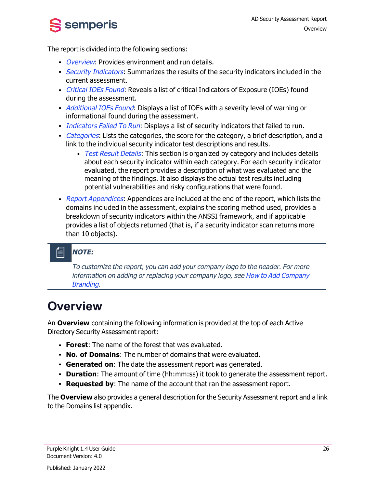The report is divided into the following sections:

semperis

- [Overview](#page-31-0): Provides environment and run details.
- [Security](#page-32-0) Indicators: Summarizes the results of the security indicators included in the current assessment.
- [Critical](#page-32-1) IOEs Found: Reveals a list of critical Indicators of Exposure (IOEs) found during the assessment.
- [Additional](#page-33-0) IOEs Found: Displays a list of IOEs with a severity level of warning or informational found during the assessment.
- $\bullet$  [Indicators](#page-34-0) Failed To Run: Displays a list of security indicators that failed to run.
- [Categories](#page-34-1): Lists the categories, the score for the category, a brief description, and a link to the individual security indicator test descriptions and results.
	- Test Result [Details](#page-35-0): This section is organized by category and includes details about each security indicator within each category. For each security indicator evaluated, the report provides a description of what was evaluated and the meaning of the findings. It also displays the actual test results including potential vulnerabilities and risky configurations that were found.
- Report [Appendices](#page-39-0): Appendices are included at the end of the report, which lists the domains included in the assessment, explains the scoring method used, provides a breakdown of security indicators within the ANSSI framework, and if applicable provides a list of objects returned (that is, if a security indicator scan returns more than 10 objects).

## **NOTE:**

To customize the report, you can add your company logo to the header. For more information on adding or replacing your company logo, see How to Add [Company](#page-44-0) [Branding](#page-44-0).

## <span id="page-31-0"></span>**Overview**

An **Overview** containing the following information is provided at the top of each Active Directory Security Assessment report:

- **Forest:** The name of the forest that was evaluated.
- <sup>l</sup> **No. of Domains**: The number of domains that were evaluated.
- **Generated on**: The date the assessment report was generated.
- **Duration**: The amount of time (hh:mm:ss) it took to generate the assessment report.
- **Requested by:** The name of the account that ran the assessment report.

The **Overview** also provides a general description for the Security Assessment report and a link to the Domains list appendix.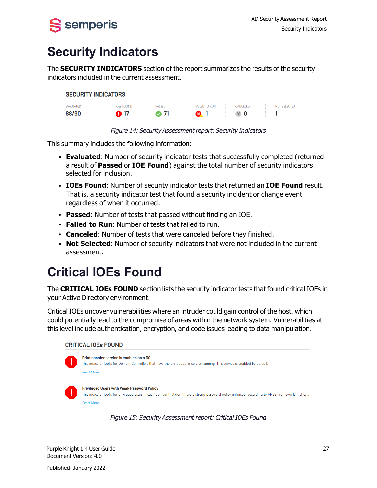<span id="page-32-0"></span>

## **Security Indicators**

The **SECURITY INDICATORS** section of the report summarizes the results of the security indicators included in the current assessment.





This summary includes the following information:

- **Evaluated:** Number of security indicator tests that successfully completed (returned a result of **Passed** or **IOE Found**) against the total number of security indicators selected for inclusion.
- <sup>l</sup> **IOEs Found**: Number of security indicator tests that returned an **IOE Found** result. That is, a security indicator test that found a security incident or change event regardless of when it occurred.
- **Passed**: Number of tests that passed without finding an IOE.
- <sup>l</sup> **Failed to Run**: Number of tests that failed to run.
- **Canceled:** Number of tests that were canceled before they finished.
- **Not Selected**: Number of security indicators that were not included in the current assessment.

## <span id="page-32-1"></span>**Critical IOEs Found**

The **CRITICAL IOEs FOUND** section lists the security indicator tests that found critical IOEs in your Active Directory environment.

Critical IOEs uncover vulnerabilities where an intruder could gain control of the host, which could potentially lead to the compromise of areas within the network system. Vulnerabilities at this level include authentication, encryption, and code issues leading to data manipulation.

#### **CRITICAL IOEs FOUND**

| ÷        | Print spooler service is enabled on a DC<br>This indicator looks for Domain Controllers that have the print spooler service running. This service is enabled by default.                               |
|----------|--------------------------------------------------------------------------------------------------------------------------------------------------------------------------------------------------------|
|          | Read More                                                                                                                                                                                              |
| ٠.<br>÷. | <b>Privileged Users with Weak Password Policy</b><br>This indicator looks for privileged users in each domain that don't have a strong password policy enforced, according to ANSSI framework. It chec |
|          | Read More                                                                                                                                                                                              |

Figure 15: Security Assessment report: Critical IOEs Found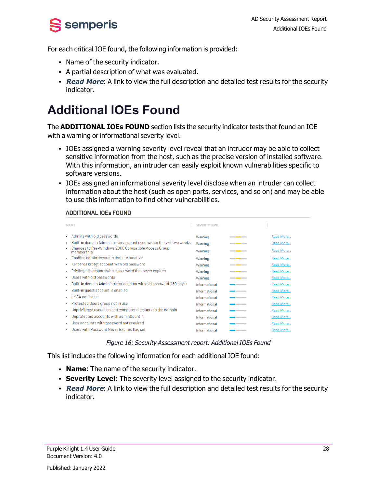S semperis

For each critical IOE found, the following information is provided:

- Name of the security indicator.
- A partial description of what was evaluated.
- **Read More:** A link to view the full description and detailed test results for the security indicator.

## <span id="page-33-0"></span>**Additional IOEs Found**

The **ADDITIONAL IOEs FOUND** section lists the security indicator tests that found an IOE with a warning or informational severity level.

- IOEs assigned a warning severity level reveal that an intruder may be able to collect sensitive information from the host, such as the precise version of installed software. With this information, an intruder can easily exploit known vulnerabilities specific to software versions.
- IOEs assigned an informational severity level disclose when an intruder can collect information about the host (such as open ports, services, and so on) and may be able to use this information to find other vulnerabilities.

#### **ADDITIONAL IOEs FOUND**

| <b>NAMF</b>                                                                     | <b>SEVERITY LEVEL</b> |      |           |
|---------------------------------------------------------------------------------|-----------------------|------|-----------|
| Admins with old passwords                                                       | Warning               | ____ | Read More |
| Built-in domain Administrator account used within the last two weeks            | Warning               | ____ | Read More |
| Changes to Pre-Windows 2000 Compatible Access Group<br>membership               | Warning               | ____ | Read More |
| Enabled admin accounts that are inactive                                        | Warning               | ____ | Read More |
| Kerberos krbtgt account with old password<br>$\bullet$                          | Warning               | ____ | Read More |
| Privileged accounts with a password that never expires<br>$\bullet$             | Warning               | ____ | Read More |
| Users with old passwords<br>$\bullet$                                           | Warning               | ____ | Read More |
| Built-in domain Administrator account with old password (180 days)<br>$\bullet$ | Informational         | ____ | Read More |
| Built-in quest account is enabled                                               | Informational         | .    | Read More |
| gMSA not in use<br>$\bullet$                                                    | Informational         |      | Read More |
| Protected Users group not in use<br>٠                                           | Informational         | ____ | Read More |
| Unprivileged users can add computer accounts to the domain                      | Informational         | ___  | Read More |
| Unprotected accounts with adminCount=1                                          | Informational         | ___  | Read More |
| User accounts with password not required                                        | Informational         | ___  | Read More |
| Users with Password Never Expires flag set                                      | Informational         | ____ | Read More |

Figure 16: Security Assessment report: Additional IOEs Found

This list includes the following information for each additional IOE found:

- **Name**: The name of the security indicator.
- **Severity Level:** The severity level assigned to the security indicator.
- **Read More:** A link to view the full description and detailed test results for the security indicator.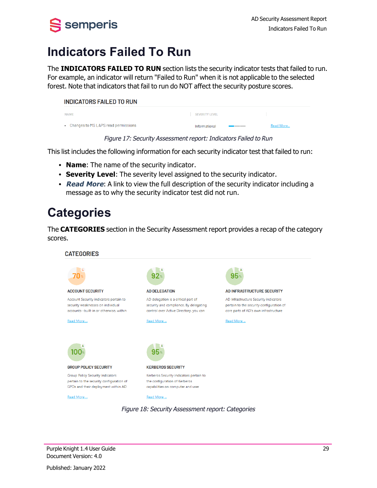# <span id="page-34-0"></span> $S$  semperis

## **Indicators Failed To Run**

The **INDICATORS FAILED TO RUN** section lists the security indicator tests that failed to run. For example, an indicator will return "Failed to Run" when it is not applicable to the selected forest. Note that indicators that fail to run do NOT affect the security posture scores.

| <b>INDICATORS FAILED TO RUN</b>       |                       |           |
|---------------------------------------|-----------------------|-----------|
| <b>NAME</b>                           | <b>SEVERITY LEVEL</b> |           |
| • Changes to MS LAPS read permissions | Informational         | Read More |

Figure 17: Security Assessment report: Indicators Failed to Run

This list includes the following information for each security indicator test that failed to run:

- **Name**: The name of the security indicator.
- **· Severity Level:** The severity level assigned to the security indicator.
- **Read More:** A link to view the full description of the security indicator including a message as to why the security indicator test did not run.

## <span id="page-34-1"></span>**Categories**

The **CATEGORIES** section in the Security Assessment report provides a recap of the category scores.

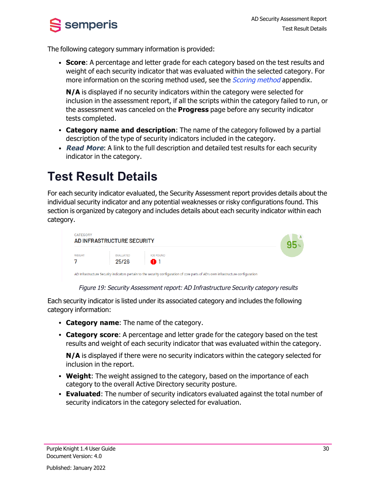

The following category summary information is provided:

**Score:** A percentage and letter grade for each category based on the test results and weight of each security indicator that was evaluated within the selected category. For more information on the scoring method used, see the *[Scoring](#page-40-0) method* appendix.

**N/A** is displayed if no security indicators within the category were selected for inclusion in the assessment report, if all the scripts within the category failed to run, or the assessment was canceled on the **Progress** page before any security indicator tests completed.

- <sup>l</sup> **Category name and description**: The name of the category followed by a partial description of the type of security indicators included in the category.
- **Read More:** A link to the full description and detailed test results for each security indicator in the category.

## <span id="page-35-0"></span>**Test Result Details**

For each security indicator evaluated, the Security Assessment report provides details about the individual security indicator and any potential weaknesses or risky configurations found. This section is organized by category and includes details about each security indicator within each category.



Figure 19: Security Assessment report: AD Infrastructure Security category results

Each security indicator is listed under its associated category and includes the following category information:

- **Category name:** The name of the category.
- <sup>l</sup> **Category score**: A percentage and letter grade for the category based on the test results and weight of each security indicator that was evaluated within the category.

**N/A** is displayed if there were no security indicators within the category selected for inclusion in the report.

- **Weight**: The weight assigned to the category, based on the importance of each category to the overall Active Directory security posture.
- **Evaluated:** The number of security indicators evaluated against the total number of security indicators in the category selected for evaluation.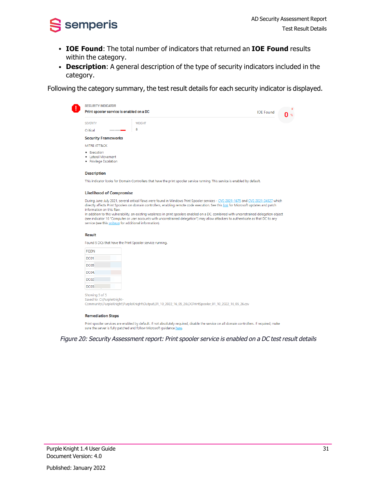

- <sup>l</sup> **IOE Found**: The total number of indicators that returned an **IOE Found** results within the category.
- **· Description**: A general description of the type of security indicators included in the category.

Following the category summary, the test result details for each security indicator is displayed.

| <b>SECURITY INDICATOR</b><br>Print spooler service is enabled on a DC |                                                                                                                                                                                                                                                                             | <b>IOF Found</b> |  |
|-----------------------------------------------------------------------|-----------------------------------------------------------------------------------------------------------------------------------------------------------------------------------------------------------------------------------------------------------------------------|------------------|--|
| <b>SEVERITY</b>                                                       | <b>WEIGHT</b>                                                                                                                                                                                                                                                               |                  |  |
| Critical<br>___                                                       | 8                                                                                                                                                                                                                                                                           |                  |  |
| <b>Security Frameworks</b>                                            |                                                                                                                                                                                                                                                                             |                  |  |
| MITRE ATT&CK                                                          |                                                                                                                                                                                                                                                                             |                  |  |
| • Execution<br>Lateral Movement<br><b>Privilege Escalation</b><br>٠   |                                                                                                                                                                                                                                                                             |                  |  |
| <b>Description</b>                                                    |                                                                                                                                                                                                                                                                             |                  |  |
|                                                                       | This indicator looks for Domain Controllers that have the print spooler service running. This service is enabled by default.                                                                                                                                                |                  |  |
| <b>Likelihood of Compromise</b>                                       |                                                                                                                                                                                                                                                                             |                  |  |
| information on this flaw.                                             | During June-July 2021, several critical flaws were found in Windows Print Spooler services - CVE-2021-1675 and CVE-2021-34527 which<br>directly affects Print Spoolers on domain controllers, enabling remote code execution. See this link for Microsoft updates and patch |                  |  |
|                                                                       | In addition to this vulnerability, an existing weakness in print spoolers enabled on a DC, combined with unconstrained delegation object                                                                                                                                    |                  |  |

(see indicator 16 "Computer or user accounts with unconstrained delegation") may allow attackers to authenticate as that DC to any service (see this writeup for additional information).

#### **Result**

Found 5 DCs that have the Print Spooler service running.

| <b>FODN</b>      |  |
|------------------|--|
| DC <sub>01</sub> |  |
| DC <sub>05</sub> |  |
| DC04.            |  |
| DC <sub>02</sub> |  |
| DC <sub>03</sub> |  |

Showing 5 of 5 Saved to: C:\PurpleKnight-Community\PurpleKnight\PurpleKnight\Output\01\_10\_2022\_16\_05\_26\DCPrintSpooler\_01\_10\_2022\_16\_05\_26.csv

#### **Remediation Steps**

Print spooler services are enabled by default. If not absolutely required, disable the service on all domain controllers. If required, make sure the server is fully patched and follow Microsoft quidance here.

Figure 20: Security Assessment report: Print spooler service is enabled on <sup>a</sup> DC test result details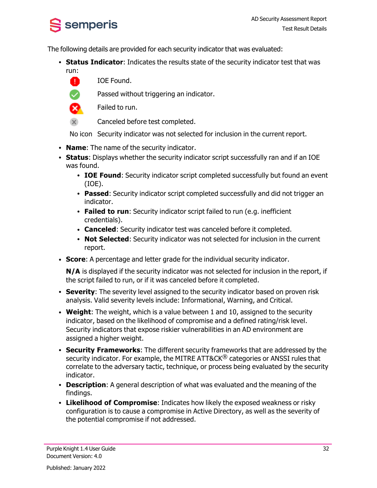

The following details are provided for each security indicator that was evaluated:

- **Status Indicator**: Indicates the results state of the security indicator test that was run:
	- A IOE Found.

Passed without triggering an indicator.



Failed to run.

 $\overline{\mathsf{x}}$ Canceled before test completed.

No icon Security indicator was not selected for inclusion in the current report.

- **Name**: The name of the security indicator.
- **Status**: Displays whether the security indicator script successfully ran and if an IOE was found.
	- **IOE Found**: Security indicator script completed successfully but found an event (IOE).
	- **Passed:** Security indicator script completed successfully and did not trigger an indicator.
	- **Failed to run**: Security indicator script failed to run (e.g. inefficient credentials).
	- **Canceled**: Security indicator test was canceled before it completed.
	- **Not Selected:** Security indicator was not selected for inclusion in the current report.
- **Score:** A percentage and letter grade for the individual security indicator.

**N/A** is displayed if the security indicator was not selected for inclusion in the report, if the script failed to run, or if it was canceled before it completed.

- **Severity**: The severity level assigned to the security indicator based on proven risk analysis. Valid severity levels include: Informational, Warning, and Critical.
- <sup>l</sup> **Weight**: The weight, which is a value between 1 and 10, assigned to the security indicator, based on the likelihood of compromise and a defined rating/risk level. Security indicators that expose riskier vulnerabilities in an AD environment are assigned a higher weight.
- **Security Frameworks:** The different security frameworks that are addressed by the security indicator. For example, the MITRE ATT&CK<sup>®</sup> categories or ANSSI rules that correlate to the adversary tactic, technique, or process being evaluated by the security indicator.
- **Description**: A general description of what was evaluated and the meaning of the findings.
- <sup>l</sup> **Likelihood of Compromise**: Indicates how likely the exposed weakness or risky configuration is to cause a compromise in Active Directory, as well as the severity of the potential compromise if not addressed.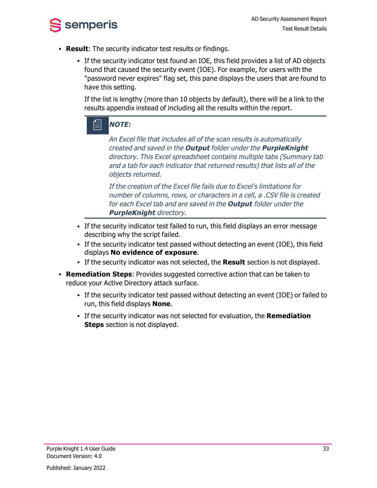

- **Result:** The security indicator test results or findings.
	- If the security indicator test found an IOE, this field provides a list of AD objects found that caused the security event (IOE). For example, for users with the "password never expires" flag set, this pane displays the users that are found to have this setting.

If the list is lengthy (more than 10 objects by default), there will be a link to the results appendix instead of including all the results within the report.



An Excel file that includes all of the scan results is automatically created and saved in the **Output** folder under the **PurpleKnight** directory. This Excel spreadsheet contains multiple tabs (Summary tab and <sup>a</sup> tab for each indicator that returned results) that lists all of the objects returned.

If the creation of the Excel file fails due to Excel's limitations for number of columns, rows, or characters in <sup>a</sup> cell, <sup>a</sup> .CSV file is created for each Excel tab and are saved in the **Output** folder under the **PurpleKnight** directory.

- If the security indicator test failed to run, this field displays an error message describing why the script failed.
- If the security indicator test passed without detecting an event (IOE), this field displays **No evidence of exposure**.
- If the security indicator was not selected, the **Result** section is not displayed.
- **Remediation Steps:** Provides suggested corrective action that can be taken to reduce your Active Directory attack surface.
	- If the security indicator test passed without detecting an event (IOE) or failed to run, this field displays **None**.
	- **.** If the security indicator was not selected for evaluation, the **Remediation Steps** section is not displayed.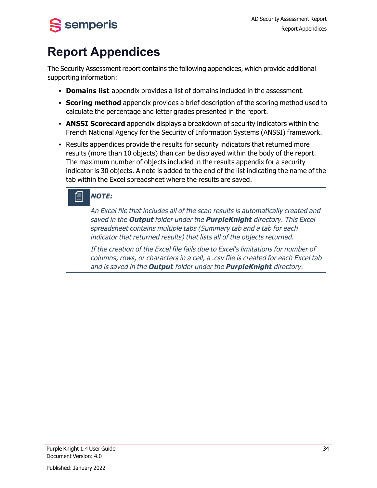<span id="page-39-0"></span>

## **Report Appendices**

The Security Assessment report contains the following appendices, which provide additional supporting information:

- **Domains list** appendix provides a list of domains included in the assessment.
- **Scoring method** appendix provides a brief description of the scoring method used to calculate the percentage and letter grades presented in the report.
- **ANSSI Scorecard** appendix displays a breakdown of security indicators within the French National Agency for the Security of Information Systems (ANSSI) framework.
- Results appendices provide the results for security indicators that returned more results (more than 10 objects) than can be displayed within the body of the report. The maximum number of objects included in the results appendix for a security indicator is 30 objects. A note is added to the end of the list indicating the name of the tab within the Excel spreadsheet where the results are saved.

## **NOTE:**

An Excel file that includes all of the scan results is automatically created and saved in the **Output** folder under the **PurpleKnight** directory. This Excel spreadsheet contains multiple tabs (Summary tab and <sup>a</sup> tab for each indicator that returned results) that lists all of the objects returned.

If the creation of the Excel file fails due to Excel's limitations for number of columns, rows, or characters in <sup>a</sup> cell, <sup>a</sup> .csv file is created for each Excel tab and is saved in the **Output** folder under the **PurpleKnight** directory.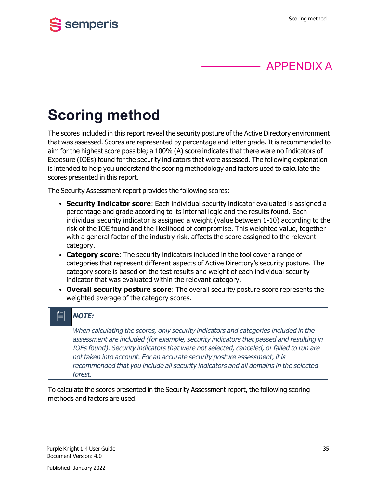



# <span id="page-40-0"></span>**Scoring method**

The scores included in this report reveal the security posture of the Active Directory environment that was assessed. Scores are represented by percentage and letter grade. It is recommended to aim for the highest score possible; a 100% (A) score indicates that there were no Indicators of Exposure (IOEs) found for the security indicators that were assessed. The following explanation is intended to help you understand the scoring methodology and factors used to calculate the scores presented in this report.

The Security Assessment report provides the following scores:

- **Security Indicator score**: Each individual security indicator evaluated is assigned a percentage and grade according to its internal logic and the results found. Each individual security indicator is assigned a weight (value between 1-10) according to the risk of the IOE found and the likelihood of compromise. This weighted value, together with a general factor of the industry risk, affects the score assigned to the relevant category.
- **Category score**: The security indicators included in the tool cover a range of categories that represent different aspects of Active Directory's security posture. The category score is based on the test results and weight of each individual security indicator that was evaluated within the relevant category.
- <sup>l</sup> **Overall security posture score**: The overall security posture score represents the weighted average of the category scores.

#### 倡 **NOTE:**

When calculating the scores, only security indicators and categories included in the assessment are included (for example, security indicators that passed and resulting in IOEs found). Security indicators that were not selected, canceled, or failed to run are not taken into account. For an accurate security posture assessment, it is recommended that you include all security indicators and all domains in the selected forest.

To calculate the scores presented in the Security Assessment report, the following scoring methods and factors are used.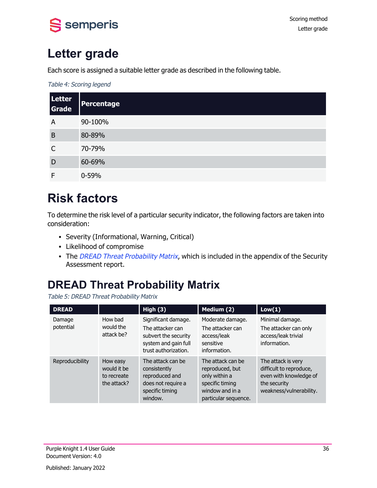

## <span id="page-41-0"></span>**Letter grade**

Each score is assigned a suitable letter grade as described in the following table.

Table 4: Scoring legend

| Letter<br>Grade | <b>Percentage</b> |
|-----------------|-------------------|
| A               | 90-100%           |
| B               | 80-89%            |
| C               | 70-79%            |
| D               | 60-69%            |
| F               | $0 - 59%$         |

## <span id="page-41-1"></span>**Risk factors**

To determine the risk level of a particular security indicator, the following factors are taken into consideration:

- Severity (Informational, Warning, Critical)
- Likelihood of compromise
- The DREAD Threat [Probability](#page-41-2) Matrix, which is included in the appendix of the Security Assessment report.

## <span id="page-41-2"></span>**DREAD Threat Probability Matrix**

Table 5: DREAD Threat Probability Matrix

| <b>DREAD</b>        |                                                       | High $(3)$                                                                                                      | Medium (2)                                                                                                          | Low(1)                                                                                                             |
|---------------------|-------------------------------------------------------|-----------------------------------------------------------------------------------------------------------------|---------------------------------------------------------------------------------------------------------------------|--------------------------------------------------------------------------------------------------------------------|
| Damage<br>potential | How bad<br>would the<br>attack be?                    | Significant damage.<br>The attacker can<br>subvert the security<br>system and gain full<br>trust authorization. | Moderate damage.<br>The attacker can<br>access/leak<br>sensitive<br>information.                                    | Minimal damage.<br>The attacker can only<br>access/leak trivial<br>information.                                    |
| Reproducibility     | How easy<br>would it be<br>to recreate<br>the attack? | The attack can be<br>consistently<br>reproduced and<br>does not require a<br>specific timing<br>window.         | The attack can be<br>reproduced, but<br>only within a<br>specific timing<br>window and in a<br>particular sequence. | The attack is very<br>difficult to reproduce,<br>even with knowledge of<br>the security<br>weakness/vulnerability. |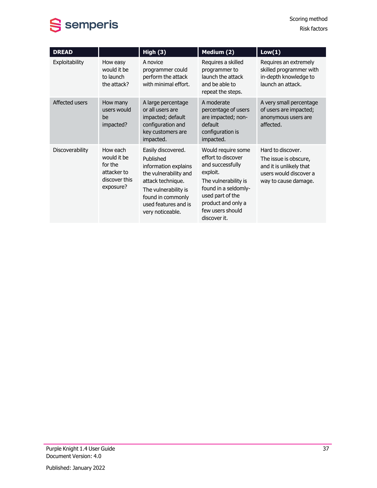

| <b>DREAD</b>    |                                                                                 | High (3)                                                                                                                                                                                       | Medium (2)                                                                                                                                                                                             | Low(1)                                                                                                                  |
|-----------------|---------------------------------------------------------------------------------|------------------------------------------------------------------------------------------------------------------------------------------------------------------------------------------------|--------------------------------------------------------------------------------------------------------------------------------------------------------------------------------------------------------|-------------------------------------------------------------------------------------------------------------------------|
| Exploitability  | How easy<br>would it be<br>to launch<br>the attack?                             | A novice<br>programmer could<br>perform the attack<br>with minimal effort.                                                                                                                     | Requires a skilled<br>programmer to<br>launch the attack<br>and be able to<br>repeat the steps.                                                                                                        | Requires an extremely<br>skilled programmer with<br>in-depth knowledge to<br>launch an attack.                          |
| Affected users  | How many<br>users would<br>he.<br>impacted?                                     | A large percentage<br>or all users are<br>impacted; default<br>configuration and<br>key customers are<br>impacted.                                                                             | A moderate<br>percentage of users<br>are impacted; non-<br>default<br>configuration is<br>impacted.                                                                                                    | A very small percentage<br>of users are impacted;<br>anonymous users are<br>affected.                                   |
| Discoverability | How each<br>would it be<br>for the<br>attacker to<br>discover this<br>exposure? | Easily discovered.<br>Published<br>information explains<br>the vulnerability and<br>attack technique.<br>The vulnerability is<br>found in commonly<br>used features and is<br>very noticeable. | Would require some<br>effort to discover<br>and successfully<br>exploit.<br>The vulnerability is<br>found in a seldomly-<br>used part of the<br>product and only a<br>few users should<br>discover it. | Hard to discover.<br>The issue is obscure,<br>and it is unlikely that<br>users would discover a<br>way to cause damage. |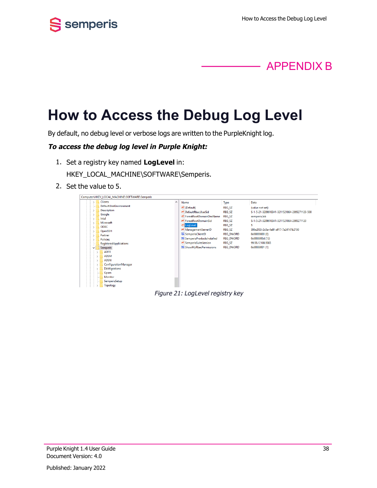



# <span id="page-43-0"></span>**How to Access the Debug Log Level**

By default, no debug level or verbose logs are written to the PurpleKnight log.

#### **To access the debug log level in Purple Knight:**

- 1. Set a registry key named **LogLevel** in: HKEY\_LOCAL\_MACHINE\SOFTWARE\Semperis.
- 2. Set the value to 5.



Figure 21: LogLevel registry key